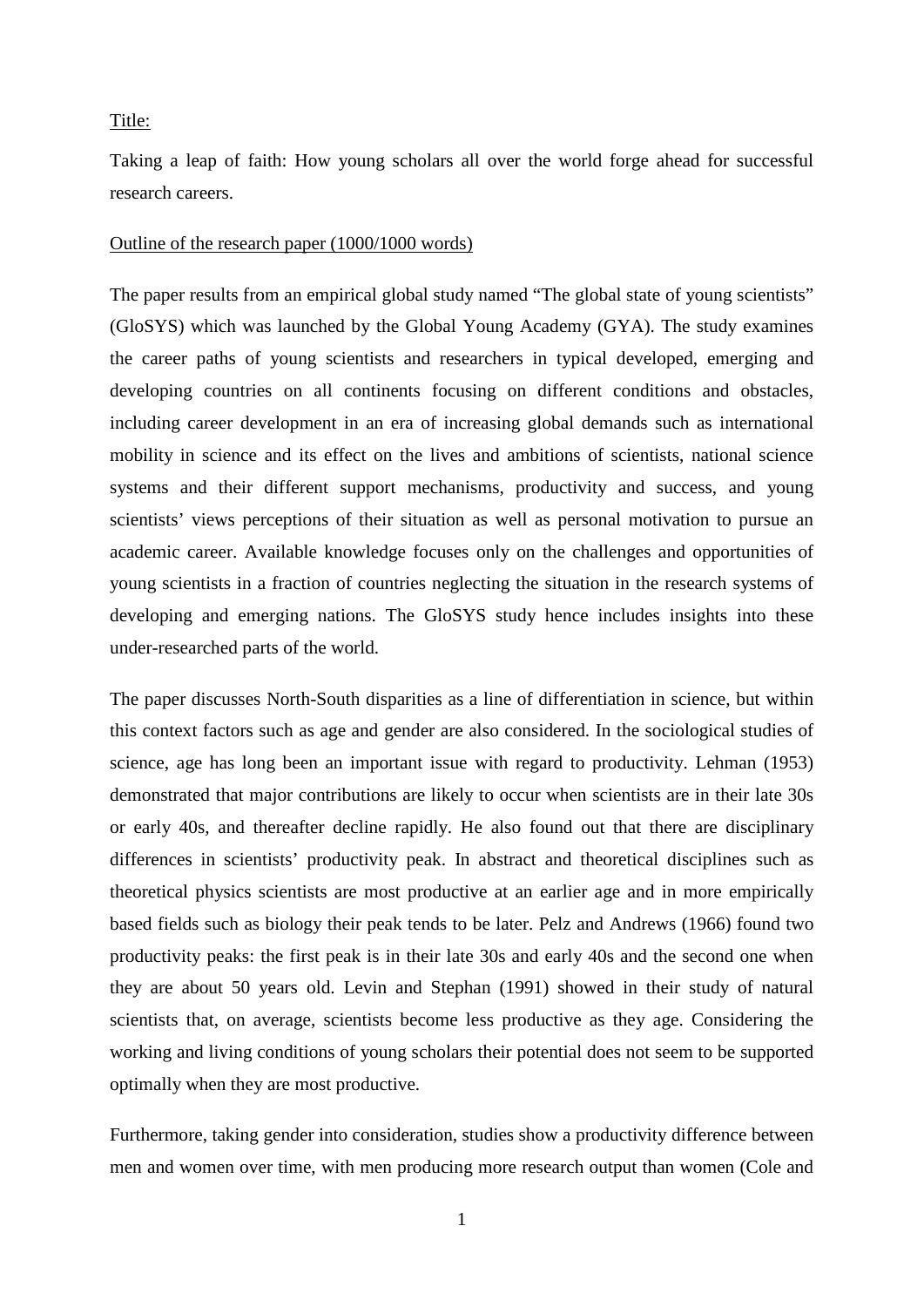## Title:

Taking a leap of faith: How young scholars all over the world forge ahead for successful research careers.

## Outline of the research paper (1000/1000 words)

The paper results from an empirical global study named "The global state of young scientists" (GloSYS) which was launched by the Global Young Academy (GYA). The study examines the career paths of young scientists and researchers in typical developed, emerging and developing countries on all continents focusing on different conditions and obstacles, including career development in an era of increasing global demands such as international mobility in science and its effect on the lives and ambitions of scientists, national science systems and their different support mechanisms, productivity and success, and young scientists' views perceptions of their situation as well as personal motivation to pursue an academic career. Available knowledge focuses only on the challenges and opportunities of young scientists in a fraction of countries neglecting the situation in the research systems of developing and emerging nations. The GloSYS study hence includes insights into these under-researched parts of the world.

The paper discusses North-South disparities as a line of differentiation in science, but within this context factors such as age and gender are also considered. In the sociological studies of science, age has long been an important issue with regard to productivity. Lehman (1953) demonstrated that major contributions are likely to occur when scientists are in their late 30s or early 40s, and thereafter decline rapidly. He also found out that there are disciplinary differences in scientists' productivity peak. In abstract and theoretical disciplines such as theoretical physics scientists are most productive at an earlier age and in more empirically based fields such as biology their peak tends to be later. Pelz and Andrews (1966) found two productivity peaks: the first peak is in their late 30s and early 40s and the second one when they are about 50 years old. Levin and Stephan (1991) showed in their study of natural scientists that, on average, scientists become less productive as they age. Considering the working and living conditions of young scholars their potential does not seem to be supported optimally when they are most productive.

Furthermore, taking gender into consideration, studies show a productivity difference between men and women over time, with men producing more research output than women (Cole and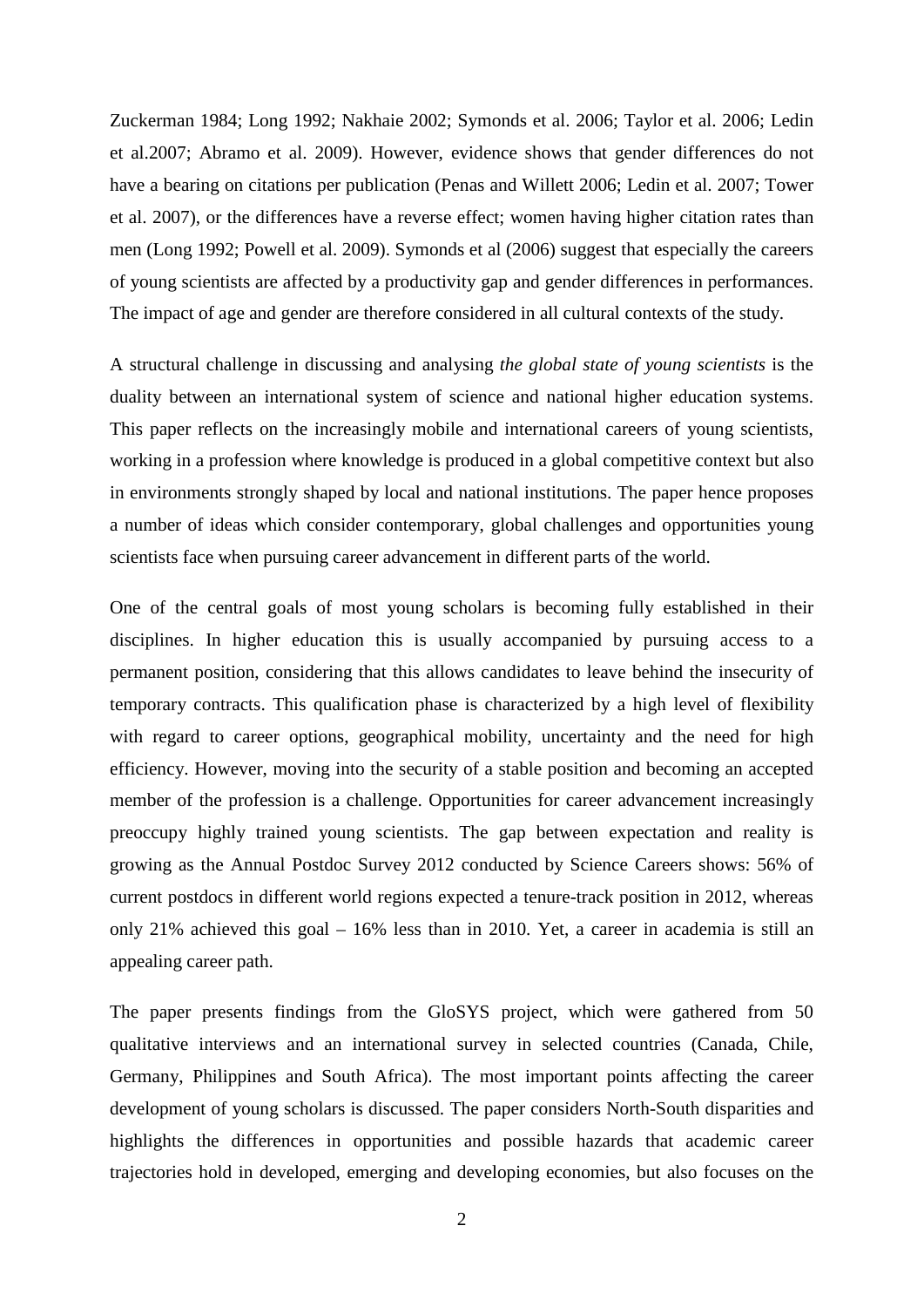Zuckerman 1984; Long 1992; Nakhaie 2002; Symonds et al. 2006; Taylor et al. 2006; Ledin et al.2007; Abramo et al. 2009). However, evidence shows that gender differences do not have a bearing on citations per publication (Penas and Willett 2006; Ledin et al. 2007; Tower et al. 2007), or the differences have a reverse effect; women having higher citation rates than men (Long 1992; Powell et al. 2009). Symonds et al (2006) suggest that especially the careers of young scientists are affected by a productivity gap and gender differences in performances. The impact of age and gender are therefore considered in all cultural contexts of the study.

A structural challenge in discussing and analysing *the global state of young scientists* is the duality between an international system of science and national higher education systems. This paper reflects on the increasingly mobile and international careers of young scientists, working in a profession where knowledge is produced in a global competitive context but also in environments strongly shaped by local and national institutions. The paper hence proposes a number of ideas which consider contemporary, global challenges and opportunities young scientists face when pursuing career advancement in different parts of the world.

One of the central goals of most young scholars is becoming fully established in their disciplines. In higher education this is usually accompanied by pursuing access to a permanent position, considering that this allows candidates to leave behind the insecurity of temporary contracts. This qualification phase is characterized by a high level of flexibility with regard to career options, geographical mobility, uncertainty and the need for high efficiency. However, moving into the security of a stable position and becoming an accepted member of the profession is a challenge. Opportunities for career advancement increasingly preoccupy highly trained young scientists. The gap between expectation and reality is growing as the Annual Postdoc Survey 2012 conducted by Science Careers shows: 56% of current postdocs in different world regions expected a tenure-track position in 2012, whereas only 21% achieved this goal – 16% less than in 2010. Yet, a career in academia is still an appealing career path.

The paper presents findings from the GloSYS project, which were gathered from 50 qualitative interviews and an international survey in selected countries (Canada, Chile, Germany, Philippines and South Africa). The most important points affecting the career development of young scholars is discussed. The paper considers North-South disparities and highlights the differences in opportunities and possible hazards that academic career trajectories hold in developed, emerging and developing economies, but also focuses on the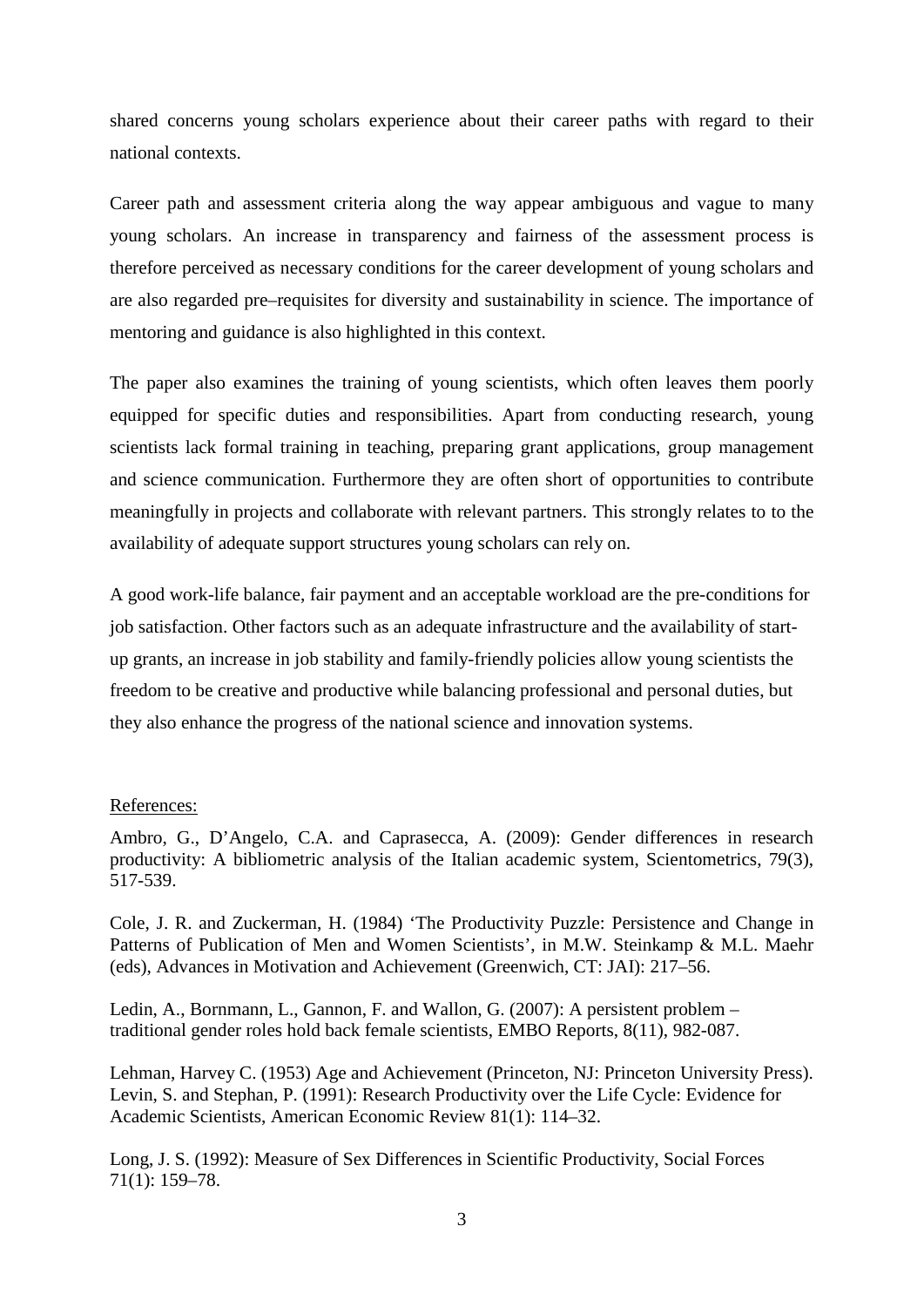shared concerns young scholars experience about their career paths with regard to their national contexts.

Career path and assessment criteria along the way appear ambiguous and vague to many young scholars. An increase in transparency and fairness of the assessment process is therefore perceived as necessary conditions for the career development of young scholars and are also regarded pre–requisites for diversity and sustainability in science. The importance of mentoring and guidance is also highlighted in this context.

The paper also examines the training of young scientists, which often leaves them poorly equipped for specific duties and responsibilities. Apart from conducting research, young scientists lack formal training in teaching, preparing grant applications, group management and science communication. Furthermore they are often short of opportunities to contribute meaningfully in projects and collaborate with relevant partners. This strongly relates to to the availability of adequate support structures young scholars can rely on.

A good work-life balance, fair payment and an acceptable workload are the pre-conditions for job satisfaction. Other factors such as an adequate infrastructure and the availability of startup grants, an increase in job stability and family-friendly policies allow young scientists the freedom to be creative and productive while balancing professional and personal duties, but they also enhance the progress of the national science and innovation systems.

## References:

Ambro, G., D'Angelo, C.A. and Caprasecca, A. (2009): Gender differences in research productivity: A bibliometric analysis of the Italian academic system, Scientometrics, 79(3), 517-539.

Cole, J. R. and Zuckerman, H. (1984) 'The Productivity Puzzle: Persistence and Change in Patterns of Publication of Men and Women Scientists', in M.W. Steinkamp & M.L. Maehr (eds), Advances in Motivation and Achievement (Greenwich, CT: JAI): 217–56.

Ledin, A., Bornmann, L., Gannon, F. and Wallon, G. (2007): A persistent problem – traditional gender roles hold back female scientists, EMBO Reports, 8(11), 982-087.

Lehman, Harvey C. (1953) Age and Achievement (Princeton, NJ: Princeton University Press). Levin, S. and Stephan, P. (1991): Research Productivity over the Life Cycle: Evidence for Academic Scientists, American Economic Review 81(1): 114–32.

Long, J. S. (1992): Measure of Sex Differences in Scientific Productivity, Social Forces 71(1): 159–78.